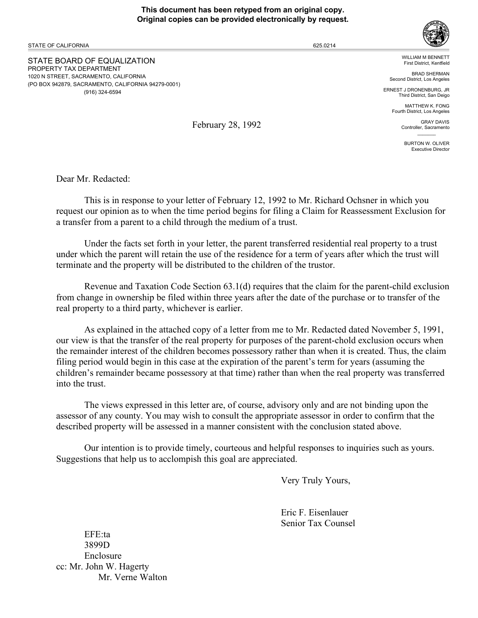### **This document has been retyped from an original copy. Original copies can be provided electronically by request.**

STATE OF CALIFORNIA

STATE BOARD OF EQUALIZATION PROPERTY TAX DEPARTMENT 1020 N STREET, SACRAMENTO, CALIFORNIA (PO BOX 942879, SACRAMENTO, CALIFORNIA 94279-0001) (916) 324-6594

WILLIAM M BENNETT

First District, Kentfield BRAD SHERMAN Second District, Los Angeles

ERNEST J DRONENBURG, JR Third District, San Deigo

> MATTHEW K. FONG Fourth District, Los Angeles

> > GRAY DAVIS Controller, Sacramento  $\mathcal{L}=\mathcal{L}$

> > > BURTON W. OLIVER Executive Director

February 28, 1992

Dear Mr. Redacted:

This is in response to your letter of February 12, 1992 to Mr. Richard Ochsner in which you request our opinion as to when the time period begins for filing a Claim for Reassessment Exclusion for a transfer from a parent to a child through the medium of a trust.

Under the facts set forth in your letter, the parent transferred residential real property to a trust under which the parent will retain the use of the residence for a term of years after which the trust will terminate and the property will be distributed to the children of the trustor.

Revenue and Taxation Code Section 63.1(d) requires that the claim for the parent-child exclusion from change in ownership be filed within three years after the date of the purchase or to transfer of the real property to a third party, whichever is earlier.

As explained in the attached copy of a letter from me to Mr. Redacted dated November 5, 1991, our view is that the transfer of the real property for purposes of the parent-chold exclusion occurs when the remainder interest of the children becomes possessory rather than when it is created. Thus, the claim filing period would begin in this case at the expiration of the parent's term for years (assuming the children's remainder became possessory at that time) rather than when the real property was transferred into the trust.

The views expressed in this letter are, of course, advisory only and are not binding upon the assessor of any county. You may wish to consult the appropriate assessor in order to confirm that the described property will be assessed in a manner consistent with the conclusion stated above.

Our intention is to provide timely, courteous and helpful responses to inquiries such as yours. Suggestions that help us to acclompish this goal are appreciated.

Very Truly Yours,

Eric F. Eisenlauer Senior Tax Counsel

EFE:ta 3899D Enclosure cc: Mr. John W. Hagerty Mr. Verne Walton



625.0214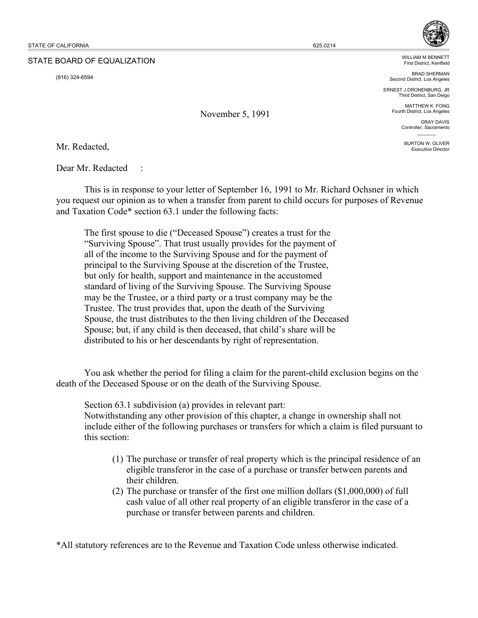### STATE BOARD OF EQUALIZATION

(916) 324-6594

November 5, 1991

WILLIAM M BENNETT First District, Kentfield

BRAD SHERMAN Second District, Los Angeles

ERNEST J DRONENBURG, JR Third District, San Deigo

> MATTHEW K. FONG Fourth District, Los Angeles

> > GRAY DAVIS Controller, Sacramento  $\mathcal{L}=\mathcal{L}$

BURTON W. OLIVER Executive Director

Mr. Redacted,

Dear Mr. Redacted

This is in response to your letter of September 16, 1991 to Mr. Richard Ochsner in which you request our opinion as to when a transfer from parent to child occurs for purposes of Revenue and Taxation Code\* section 63.1 under the following facts:

The first spouse to die ("Deceased Spouse") creates a trust for the "Surviving Spouse". That trust usually provides for the payment of all of the income to the Surviving Spouse and for the payment of principal to the Surviving Spouse at the discretion of the Trustee, but only for health, support and maintenance in the accustomed standard of living of the Surviving Spouse. The Surviving Spouse may be the Trustee, or a third party or a trust company may be the Trustee. The trust provides that, upon the death of the Surviving Spouse, the trust distributes to the then living children of the Deceased Spouse; but, if any child is then deceased, that child's share will be distributed to his or her descendants by right of representation.

You ask whether the period for filing a claim for the parent-child exclusion begins on the death of the Deceased Spouse or on the death of the Surviving Spouse.

Section 63.1 subdivision (a) provides in relevant part: Notwithstanding any other provision of this chapter, a change in ownership shall not include either of the following purchases or transfers for which a claim is filed pursuant to this section:

- (1) The purchase or transfer of real property which is the principal residence of an eligible transferor in the case of a purchase or transfer between parents and their children.
- (2) The purchase or transfer of the first one million dollars (\$1,000,000) of full cash value of all other real property of an eligible transferor in the case of a purchase or transfer between parents and children.

\*All statutory references are to the Revenue and Taxation Code unless otherwise indicated.

625.0214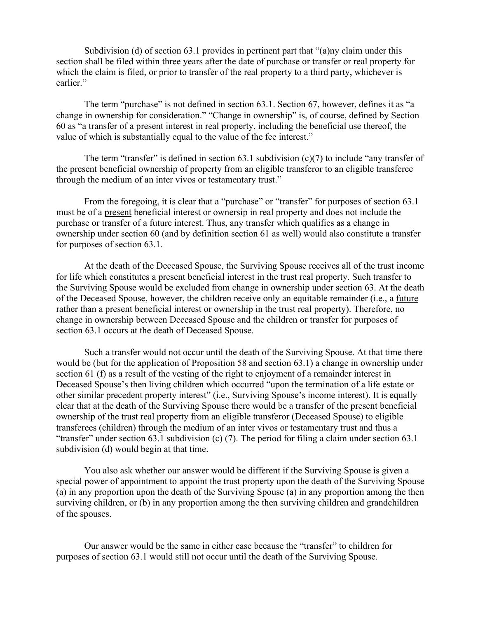Subdivision (d) of section 63.1 provides in pertinent part that "(a)ny claim under this section shall be filed within three years after the date of purchase or transfer or real property for which the claim is filed, or prior to transfer of the real property to a third party, whichever is earlier."

The term "purchase" is not defined in section 63.1. Section 67, however, defines it as "a change in ownership for consideration." "Change in ownership" is, of course, defined by Section 60 as "a transfer of a present interest in real property, including the beneficial use thereof, the value of which is substantially equal to the value of the fee interest."

The term "transfer" is defined in section 63.1 subdivision  $(c)(7)$  to include "any transfer of the present beneficial ownership of property from an eligible transferor to an eligible transferee through the medium of an inter vivos or testamentary trust."

From the foregoing, it is clear that a "purchase" or "transfer" for purposes of section 63.1 must be of a present beneficial interest or ownersip in real property and does not include the purchase or transfer of a future interest. Thus, any transfer which qualifies as a change in ownership under section 60 (and by definition section 61 as well) would also constitute a transfer for purposes of section 63.1.

 At the death of the Deceased Spouse, the Surviving Spouse receives all of the trust income for life which constitutes a present beneficial interest in the trust real property. Such transfer to the Surviving Spouse would be excluded from change in ownership under section 63. At the death of the Deceased Spouse, however, the children receive only an equitable remainder (i.e., a future rather than a present beneficial interest or ownership in the trust real property). Therefore, no change in ownership between Deceased Spouse and the children or transfer for purposes of section 63.1 occurs at the death of Deceased Spouse.

 Such a transfer would not occur until the death of the Surviving Spouse. At that time there would be (but for the application of Proposition 58 and section 63.1) a change in ownership under section 61 (f) as a result of the vesting of the right to enjoyment of a remainder interest in Deceased Spouse's then living children which occurred "upon the termination of a life estate or other similar precedent property interest" (i.e., Surviving Spouse's income interest). It is equally clear that at the death of the Surviving Spouse there would be a transfer of the present beneficial ownership of the trust real property from an eligible transferor (Deceased Spouse) to eligible transferees (children) through the medium of an inter vivos or testamentary trust and thus a "transfer" under section 63.1 subdivision (c) (7). The period for filing a claim under section 63.1 subdivision (d) would begin at that time.

 You also ask whether our answer would be different if the Surviving Spouse is given a special power of appointment to appoint the trust property upon the death of the Surviving Spouse (a) in any proportion upon the death of the Surviving Spouse (a) in any proportion among the then surviving children, or (b) in any proportion among the then surviving children and grandchildren of the spouses.

 Our answer would be the same in either case because the "transfer" to children for purposes of section 63.1 would still not occur until the death of the Surviving Spouse.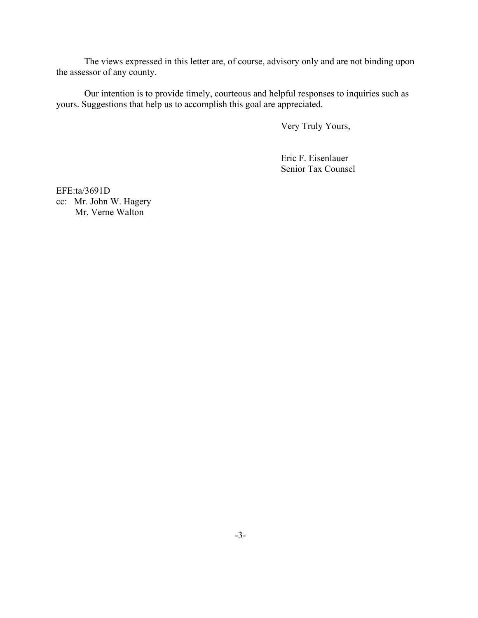The views expressed in this letter are, of course, advisory only and are not binding upon the assessor of any county.

 Our intention is to provide timely, courteous and helpful responses to inquiries such as yours. Suggestions that help us to accomplish this goal are appreciated.

Very Truly Yours,

Eric F. Eisenlauer Senior Tax Counsel

EFE:ta/3691D cc: Mr. John W. Hagery Mr. Verne Walton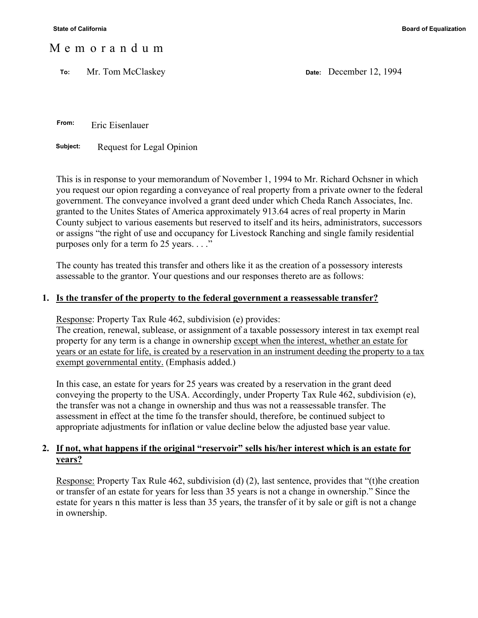## M e m o r a n d u m

 **To:** Mr. Tom McClaskey **Date:** December 12, 1994

 **From:** Eric Eisenlauer

**Subject:** Request for Legal Opinion

This is in response to your memorandum of November 1, 1994 to Mr. Richard Ochsner in which you request our opion regarding a conveyance of real property from a private owner to the federal government. The conveyance involved a grant deed under which Cheda Ranch Associates, Inc. granted to the Unites States of America approximately 913.64 acres of real property in Marin County subject to various easements but reserved to itself and its heirs, administrators, successors or assigns "the right of use and occupancy for Livestock Ranching and single family residential purposes only for a term fo 25 years. . . ."

The county has treated this transfer and others like it as the creation of a possessory interests assessable to the grantor. Your questions and our responses thereto are as follows:

### **1. Is the transfer of the property to the federal government a reassessable transfer?**

Response: Property Tax Rule 462, subdivision (e) provides:

The creation, renewal, sublease, or assignment of a taxable possessory interest in tax exempt real property for any term is a change in ownership except when the interest, whether an estate for years or an estate for life, is created by a reservation in an instrument deeding the property to a tax exempt governmental entity. (Emphasis added.)

In this case, an estate for years for 25 years was created by a reservation in the grant deed conveying the property to the USA. Accordingly, under Property Tax Rule 462, subdivision (e), the transfer was not a change in ownership and thus was not a reassessable transfer. The assessment in effect at the time fo the transfer should, therefore, be continued subject to appropriate adjustments for inflation or value decline below the adjusted base year value.

## **2. If not, what happens if the original "reservoir" sells his/her interest which is an estate for years?**

Response: Property Tax Rule 462, subdivision (d) (2), last sentence, provides that "(t)he creation or transfer of an estate for years for less than 35 years is not a change in ownership." Since the estate for years n this matter is less than 35 years, the transfer of it by sale or gift is not a change in ownership.